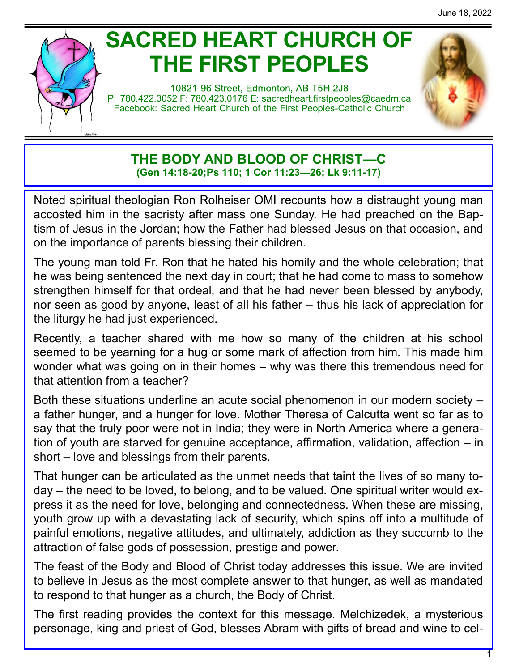# **SACRED HEART CHURCH OF THE FIRST PEOPLES**

10821-96 Street, Edmonton, AB T5H 2J8 P: 780.422.3052 F: 780.423.0176 E: [sacredheart.](mailto:sacredheart.firstpeoples@caedm.ca)firstpeoples@caedm.ca Facebook: Sacred Heart Church of the First Peoples-Catholic Church



**THE BODY AND BLOOD OF CHRIST—C (Gen 14:18-20;Ps 110; 1 Cor 11:23—26; Lk 9:11-17)**

Noted spiritual theologian Ron Rolheiser OMI recounts how a distraught young man accosted him in the sacristy after mass one Sunday. He had preached on the Baptism of Jesus in the Jordan; how the Father had blessed Jesus on that occasion, and on the importance of parents blessing their children.

The young man told Fr. Ron that he hated his homily and the whole celebration; that he was being sentenced the next day in court; that he had come to mass to somehow strengthen himself for that ordeal, and that he had never been blessed by anybody, nor seen as good by anyone, least of all his father – thus his lack of appreciation for the liturgy he had just experienced.

Recently, a teacher shared with me how so many of the children at his school seemed to be yearning for a hug or some mark of affection from him. This made him wonder what was going on in their homes – why was there this tremendous need for that attention from a teacher?

Both these situations underline an acute social phenomenon in our modern society – a father hunger, and a hunger for love. Mother Theresa of Calcutta went so far as to say that the truly poor were not in India; they were in North America where a generation of youth are starved for genuine acceptance, affirmation, validation, affection – in short – love and blessings from their parents.

That hunger can be articulated as the unmet needs that taint the lives of so many today – the need to be loved, to belong, and to be valued. One spiritual writer would express it as the need for love, belonging and connectedness. When these are missing, youth grow up with a devastating lack of security, which spins off into a multitude of painful emotions, negative attitudes, and ultimately, addiction as they succumb to the attraction of false gods of possession, prestige and power.

The feast of the Body and Blood of Christ today addresses this issue. We are invited to believe in Jesus as the most complete answer to that hunger, as well as mandated to respond to that hunger as a church, the Body of Christ.

The first reading provides the context for this message. Melchizedek, a mysterious personage, king and priest of God, blesses Abram with gifts of bread and wine to cel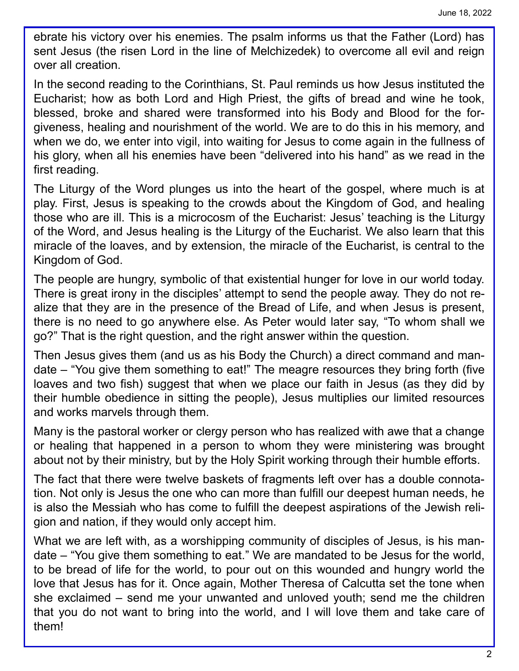ebrate his victory over his enemies. The psalm informs us that the Father (Lord) has sent Jesus (the risen Lord in the line of Melchizedek) to overcome all evil and reign over all creation.

In the second reading to the Corinthians, St. Paul reminds us how Jesus instituted the Eucharist; how as both Lord and High Priest, the gifts of bread and wine he took, blessed, broke and shared were transformed into his Body and Blood for the forgiveness, healing and nourishment of the world. We are to do this in his memory, and when we do, we enter into vigil, into waiting for Jesus to come again in the fullness of his glory, when all his enemies have been "delivered into his hand" as we read in the first reading.

The Liturgy of the Word plunges us into the heart of the gospel, where much is at play. First, Jesus is speaking to the crowds about the Kingdom of God, and healing those who are ill. This is a microcosm of the Eucharist: Jesus' teaching is the Liturgy of the Word, and Jesus healing is the Liturgy of the Eucharist. We also learn that this miracle of the loaves, and by extension, the miracle of the Eucharist, is central to the Kingdom of God.

The people are hungry, symbolic of that existential hunger for love in our world today. There is great irony in the disciples' attempt to send the people away. They do not realize that they are in the presence of the Bread of Life, and when Jesus is present, there is no need to go anywhere else. As Peter would later say, "To whom shall we go?" That is the right question, and the right answer within the question.

Then Jesus gives them (and us as his Body the Church) a direct command and mandate – "You give them something to eat!" The meagre resources they bring forth (five loaves and two fish) suggest that when we place our faith in Jesus (as they did by their humble obedience in sitting the people), Jesus multiplies our limited resources and works marvels through them.

Many is the pastoral worker or clergy person who has realized with awe that a change or healing that happened in a person to whom they were ministering was brought about not by their ministry, but by the Holy Spirit working through their humble efforts.

The fact that there were twelve baskets of fragments left over has a double connotation. Not only is Jesus the one who can more than fulfill our deepest human needs, he is also the Messiah who has come to fulfill the deepest aspirations of the Jewish religion and nation, if they would only accept him.

What we are left with, as a worshipping community of disciples of Jesus, is his mandate – "You give them something to eat." We are mandated to be Jesus for the world, to be bread of life for the world, to pour out on this wounded and hungry world the love that Jesus has for it. Once again, Mother Theresa of Calcutta set the tone when she exclaimed – send me your unwanted and unloved youth; send me the children that you do not want to bring into the world, and I will love them and take care of them!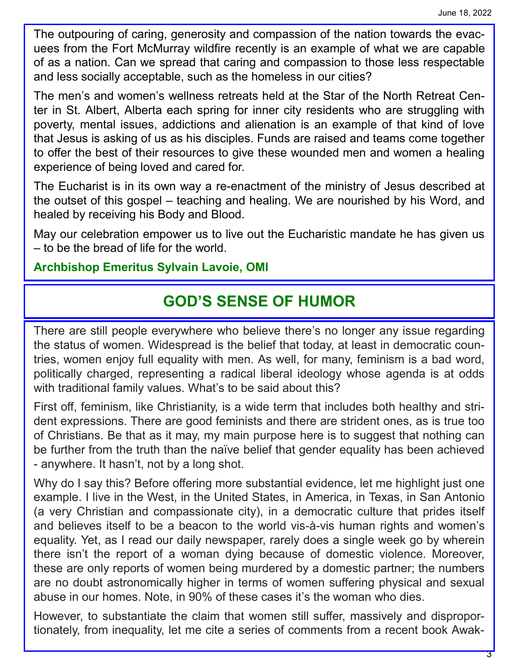The outpouring of caring, generosity and compassion of the nation towards the evacuees from the Fort McMurray wildfire recently is an example of what we are capable of as a nation. Can we spread that caring and compassion to those less respectable and less socially acceptable, such as the homeless in our cities?

The men's and women's wellness retreats held at the Star of the North Retreat Center in St. Albert, Alberta each spring for inner city residents who are struggling with poverty, mental issues, addictions and alienation is an example of that kind of love that Jesus is asking of us as his disciples. Funds are raised and teams come together to offer the best of their resources to give these wounded men and women a healing experience of being loved and cared for.

The Eucharist is in its own way a re-enactment of the ministry of Jesus described at the outset of this gospel – teaching and healing. We are nourished by his Word, and healed by receiving his Body and Blood.

May our celebration empower us to live out the Eucharistic mandate he has given us – to be the bread of life for the world.

#### **Archbishop Emeritus Sylvain Lavoie, OMI**

## **GOD'S SENSE OF HUMOR**

There are still people everywhere who believe there's no longer any issue regarding the status of women. Widespread is the belief that today, at least in democratic countries, women enjoy full equality with men. As well, for many, feminism is a bad word, politically charged, representing a radical liberal ideology whose agenda is at odds with traditional family values. What's to be said about this?

First off, feminism, like Christianity, is a wide term that includes both healthy and strident expressions. There are good feminists and there are strident ones, as is true too of Christians. Be that as it may, my main purpose here is to suggest that nothing can be further from the truth than the naïve belief that gender equality has been achieved - anywhere. It hasn't, not by a long shot.

Why do I say this? Before offering more substantial evidence, let me highlight just one example. I live in the West, in the United States, in America, in Texas, in San Antonio (a very Christian and compassionate city), in a democratic culture that prides itself and believes itself to be a beacon to the world vis-à-vis human rights and women's equality. Yet, as I read our daily newspaper, rarely does a single week go by wherein there isn't the report of a woman dying because of domestic violence. Moreover, these are only reports of women being murdered by a domestic partner; the numbers are no doubt astronomically higher in terms of women suffering physical and sexual abuse in our homes. Note, in 90% of these cases it's the woman who dies.

However, to substantiate the claim that women still suffer, massively and disproportionately, from inequality, let me cite a series of comments from a recent book Awak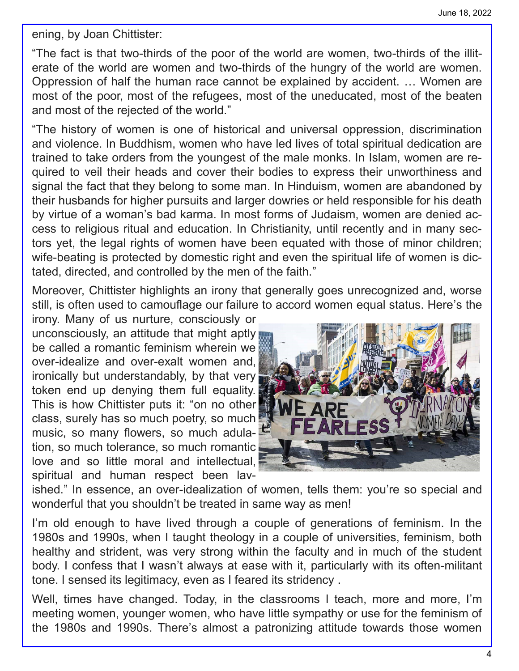ening, by Joan Chittister:

"The fact is that two-thirds of the poor of the world are women, two-thirds of the illiterate of the world are women and two-thirds of the hungry of the world are women. Oppression of half the human race cannot be explained by accident. … Women are most of the poor, most of the refugees, most of the uneducated, most of the beaten and most of the rejected of the world."

"The history of women is one of historical and universal oppression, discrimination and violence. In Buddhism, women who have led lives of total spiritual dedication are trained to take orders from the youngest of the male monks. In Islam, women are required to veil their heads and cover their bodies to express their unworthiness and signal the fact that they belong to some man. In Hinduism, women are abandoned by their husbands for higher pursuits and larger dowries or held responsible for his death by virtue of a woman's bad karma. In most forms of Judaism, women are denied access to religious ritual and education. In Christianity, until recently and in many sectors yet, the legal rights of women have been equated with those of minor children; wife-beating is protected by domestic right and even the spiritual life of women is dictated, directed, and controlled by the men of the faith."

Moreover, Chittister highlights an irony that generally goes unrecognized and, worse still, is often used to camouflage our failure to accord women equal status. Here's the

irony. Many of us nurture, consciously or unconsciously, an attitude that might aptly be called a romantic feminism wherein we over-idealize and over-exalt women and, ironically but understandably, by that very token end up denying them full equality. This is how Chittister puts it: "on no other class, surely has so much poetry, so much music, so many flowers, so much adulation, so much tolerance, so much romantic love and so little moral and intellectual, spiritual and human respect been lav-



ished." In essence, an over-idealization of women, tells them: you're so special and wonderful that you shouldn't be treated in same way as men!

I'm old enough to have lived through a couple of generations of feminism. In the 1980s and 1990s, when I taught theology in a couple of universities, feminism, both healthy and strident, was very strong within the faculty and in much of the student body. I confess that I wasn't always at ease with it, particularly with its often-militant tone. I sensed its legitimacy, even as I feared its stridency .

Well, times have changed. Today, in the classrooms I teach, more and more, I'm meeting women, younger women, who have little sympathy or use for the feminism of the 1980s and 1990s. There's almost a patronizing attitude towards those women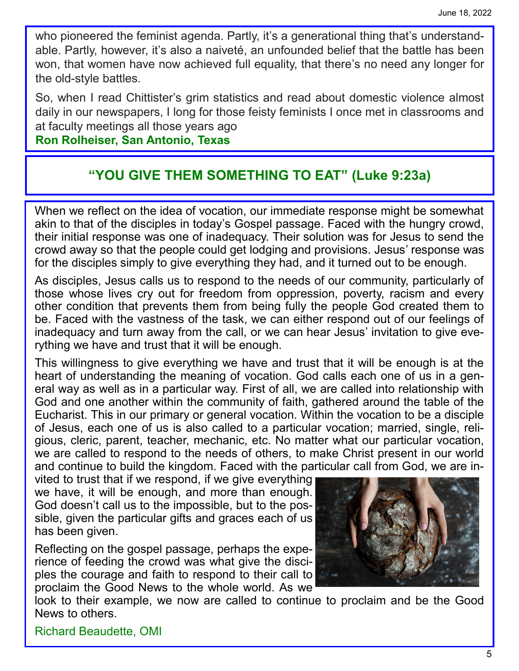who pioneered the feminist agenda. Partly, it's a generational thing that's understandable. Partly, however, it's also a naiveté, an unfounded belief that the battle has been won, that women have now achieved full equality, that there's no need any longer for the old-style battles.

So, when I read Chittister's grim statistics and read about domestic violence almost daily in our newspapers, I long for those feisty feminists I once met in classrooms and at faculty meetings all those years ago

#### **Ron Rolheiser, San Antonio, Texas**

### **"YOU GIVE THEM SOMETHING TO EAT" (Luke 9:23a)**

When we reflect on the idea of vocation, our immediate response might be somewhat akin to that of the disciples in today's Gospel passage. Faced with the hungry crowd, their initial response was one of inadequacy. Their solution was for Jesus to send the crowd away so that the people could get lodging and provisions. Jesus' response was for the disciples simply to give everything they had, and it turned out to be enough.

As disciples, Jesus calls us to respond to the needs of our community, particularly of those whose lives cry out for freedom from oppression, poverty, racism and every other condition that prevents them from being fully the people God created them to be. Faced with the vastness of the task, we can either respond out of our feelings of inadequacy and turn away from the call, or we can hear Jesus' invitation to give everything we have and trust that it will be enough.

This willingness to give everything we have and trust that it will be enough is at the heart of understanding the meaning of vocation. God calls each one of us in a general way as well as in a particular way. First of all, we are called into relationship with God and one another within the community of faith, gathered around the table of the Eucharist. This in our primary or general vocation. Within the vocation to be a disciple of Jesus, each one of us is also called to a particular vocation; married, single, religious, cleric, parent, teacher, mechanic, etc. No matter what our particular vocation, we are called to respond to the needs of others, to make Christ present in our world and continue to build the kingdom. Faced with the particular call from God, we are in-

vited to trust that if we respond, if we give everything we have, it will be enough, and more than enough. God doesn't call us to the impossible, but to the possible, given the particular gifts and graces each of us has been given.

Reflecting on the gospel passage, perhaps the experience of feeding the crowd was what give the disciples the courage and faith to respond to their call to proclaim the Good News to the whole world. As we



look to their example, we now are called to continue to proclaim and be the Good News to others.

Richard Beaudette, OMI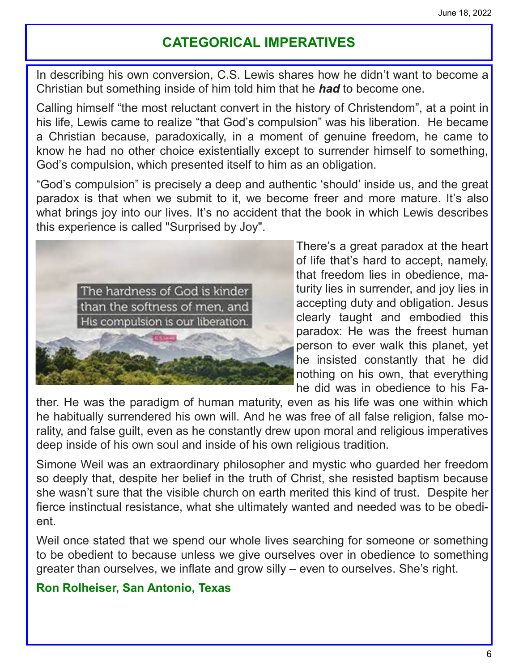## **CATEGORICAL IMPERATIVES**

In describing his own conversion, C.S. Lewis shares how he didn't want to become a Christian but something inside of him told him that he *had* to become one.

Calling himself "the most reluctant convert in the history of Christendom", at a point in his life, Lewis came to realize "that God's compulsion" was his liberation. He became a Christian because, paradoxically, in a moment of genuine freedom, he came to know he had no other choice existentially except to surrender himself to something, God's compulsion, which presented itself to him as an obligation.

"God's compulsion" is precisely a deep and authentic 'should' inside us, and the great paradox is that when we submit to it, we become freer and more mature. It's also what brings joy into our lives. It's no accident that the book in which Lewis describes this experience is called "Surprised by Joy".



There's a great paradox at the heart of life that's hard to accept, namely, that freedom lies in obedience, maturity lies in surrender, and joy lies in accepting duty and obligation. Jesus clearly taught and embodied this paradox: He was the freest human person to ever walk this planet, yet he insisted constantly that he did nothing on his own, that everything he did was in obedience to his Fa-

ther. He was the paradigm of human maturity, even as his life was one within which he habitually surrendered his own will. And he was free of all false religion, false morality, and false guilt, even as he constantly drew upon moral and religious imperatives deep inside of his own soul and inside of his own religious tradition.

Simone Weil was an extraordinary philosopher and mystic who guarded her freedom so deeply that, despite her belief in the truth of Christ, she resisted baptism because she wasn't sure that the visible church on earth merited this kind of trust. Despite her fierce instinctual resistance, what she ultimately wanted and needed was to be obedient.

Weil once stated that we spend our whole lives searching for someone or something to be obedient to because unless we give ourselves over in obedience to something greater than ourselves, we inflate and grow silly – even to ourselves. She's right.

#### **Ron Rolheiser, San Antonio, Texas**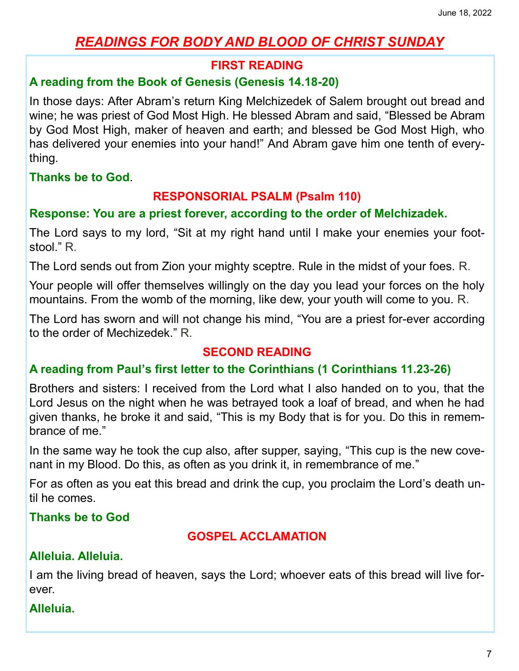## *READINGS FOR BODY AND BLOOD OF CHRIST SUNDAY*

#### **FIRST READING**

#### **A reading from the Book of Genesis (Genesis 14.18-20)**

In those days: After Abram's return King Melchizedek of Salem brought out bread and wine; he was priest of God Most High. He blessed Abram and said, "Blessed be Abram by God Most High, maker of heaven and earth; and blessed be God Most High, who has delivered your enemies into your hand!" And Abram gave him one tenth of everything.

**Thanks be to God**.

#### **RESPONSORIAL PSALM (Psalm 110)**

#### **Response: You are a priest forever, according to the order of Melchizadek.**

The Lord says to my lord, "Sit at my right hand until I make your enemies your footstool." R.

The Lord sends out from Zion your mighty sceptre. Rule in the midst of your foes. R.

Your people will offer themselves willingly on the day you lead your forces on the holy mountains. From the womb of the morning, like dew, your youth will come to you. R.

The Lord has sworn and will not change his mind, "You are a priest for-ever according to the order of Mechizedek." R.

#### **SECOND READING**

#### **A reading from Paul's first letter to the Corinthians (1 Corinthians 11.23-26)**

Brothers and sisters: I received from the Lord what I also handed on to you, that the Lord Jesus on the night when he was betrayed took a loaf of bread, and when he had given thanks, he broke it and said, "This is my Body that is for you. Do this in remembrance of me."

In the same way he took the cup also, after supper, saying, "This cup is the new covenant in my Blood. Do this, as often as you drink it, in remembrance of me."

For as often as you eat this bread and drink the cup, you proclaim the Lord's death until he comes.

**Thanks be to God** 

#### **GOSPEL ACCLAMATION**

#### **Alleluia. Alleluia.**

I am the living bread of heaven, says the Lord; whoever eats of this bread will live forever.

#### **Alleluia.**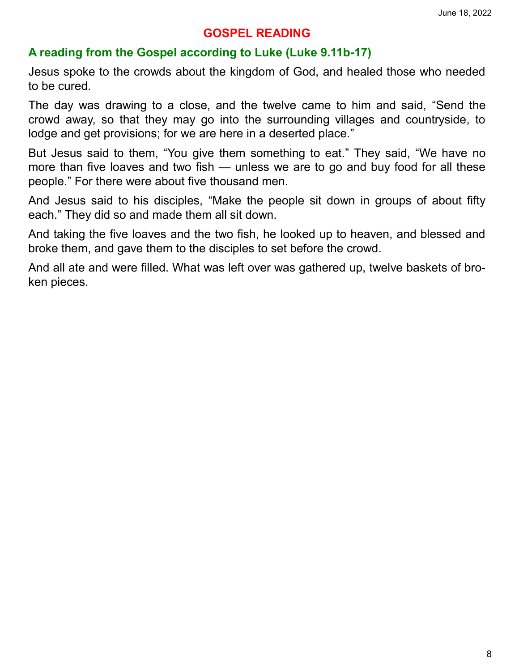#### **GOSPEL READING**

#### **A reading from the Gospel according to Luke (Luke 9.11b-17)**

Jesus spoke to the crowds about the kingdom of God, and healed those who needed to be cured.

The day was drawing to a close, and the twelve came to him and said, "Send the crowd away, so that they may go into the surrounding villages and countryside, to lodge and get provisions; for we are here in a deserted place."

But Jesus said to them, "You give them something to eat." They said, "We have no more than five loaves and two fish — unless we are to go and buy food for all these people." For there were about five thousand men.

And Jesus said to his disciples, "Make the people sit down in groups of about fifty each." They did so and made them all sit down.

And taking the five loaves and the two fish, he looked up to heaven, and blessed and broke them, and gave them to the disciples to set before the crowd.

And all ate and were filled. What was left over was gathered up, twelve baskets of broken pieces.